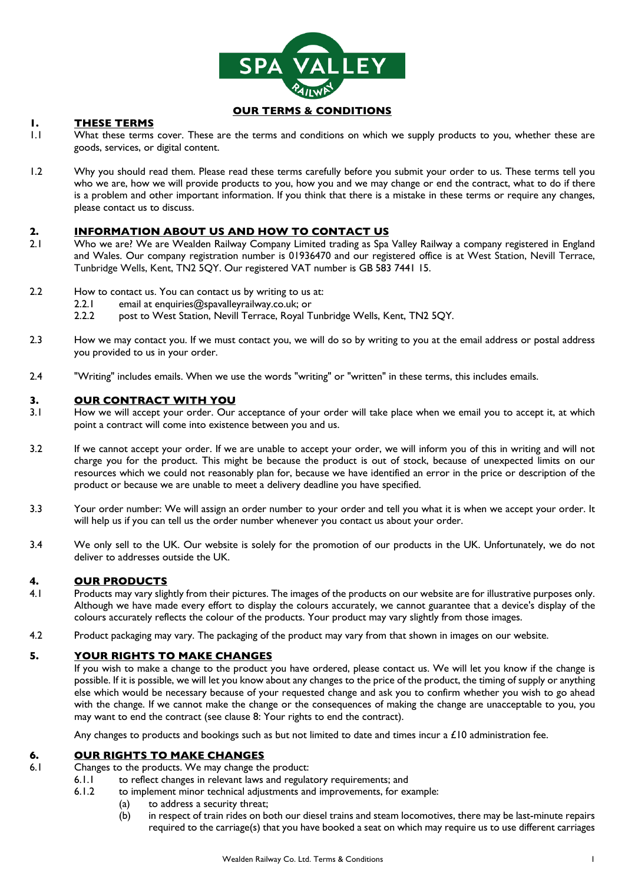

## **OUR TERMS & CONDITIONS**

## **1. THESE TERMS**

- 1.1 What these terms cover. These are the terms and conditions on which we supply products to you, whether these are goods, services, or digital content.
- 1.2 Why you should read them. Please read these terms carefully before you submit your order to us. These terms tell you who we are, how we will provide products to you, how you and we may change or end the contract, what to do if there is a problem and other important information. If you think that there is a mistake in these terms or require any changes, please contact us to discuss.

## **2. INFORMATION ABOUT US AND HOW TO CONTACT US**

- 2.1 Who we are? We are Wealden Railway Company Limited trading as Spa Valley Railway a company registered in England and Wales. Our company registration number is 01936470 and our registered office is at West Station, Nevill Terrace, Tunbridge Wells, Kent, TN2 5QY. Our registered VAT number is GB 583 7441 15.
- 2.2 How to contact us. You can contact us by writing to us at:
	- 2.2.1 email at enquiries@spavalleyrailway.co.uk; or
	- 2.2.2 post to West Station, Nevill Terrace, Royal Tunbridge Wells, Kent, TN2 5QY.
- 2.3 How we may contact you. If we must contact you, we will do so by writing to you at the email address or postal address you provided to us in your order.
- 2.4 "Writing" includes emails. When we use the words "writing" or "written" in these terms, this includes emails.

#### **3. OUR CONTRACT WITH YOU**

- 3.1 How we will accept your order. Our acceptance of your order will take place when we email you to accept it, at which point a contract will come into existence between you and us.
- 3.2 If we cannot accept your order. If we are unable to accept your order, we will inform you of this in writing and will not charge you for the product. This might be because the product is out of stock, because of unexpected limits on our resources which we could not reasonably plan for, because we have identified an error in the price or description of the product or because we are unable to meet a delivery deadline you have specified.
- 3.3 Your order number: We will assign an order number to your order and tell you what it is when we accept your order. It will help us if you can tell us the order number whenever you contact us about your order.
- 3.4 We only sell to the UK. Our website is solely for the promotion of our products in the UK. Unfortunately, we do not deliver to addresses outside the UK.

#### **4. OUR PRODUCTS**

- 4.1 Products may vary slightly from their pictures. The images of the products on our website are for illustrative purposes only. Although we have made every effort to display the colours accurately, we cannot guarantee that a device's display of the colours accurately reflects the colour of the products. Your product may vary slightly from those images.
- 4.2 Product packaging may vary. The packaging of the product may vary from that shown in images on our website.

#### **5. YOUR RIGHTS TO MAKE CHANGES**

If you wish to make a change to the product you have ordered, please contact us. We will let you know if the change is possible. If it is possible, we will let you know about any changes to the price of the product, the timing of supply or anything else which would be necessary because of your requested change and ask you to confirm whether you wish to go ahead with the change. If we cannot make the change or the consequences of making the change are unacceptable to you, you may want to end the contract (see clause 8: Your rights to end the contract).

Any changes to products and bookings such as but not limited to date and times incur a £10 administration fee.

## **6. OUR RIGHTS TO MAKE CHANGES**

- 6.1 Changes to the products. We may change the product:
	- 6.1.1 to reflect changes in relevant laws and regulatory requirements; and
	- 6.1.2 to implement minor technical adjustments and improvements, for example:
		- (a) to address a security threat;
		- (b) in respect of train rides on both our diesel trains and steam locomotives, there may be last-minute repairs required to the carriage(s) that you have booked a seat on which may require us to use different carriages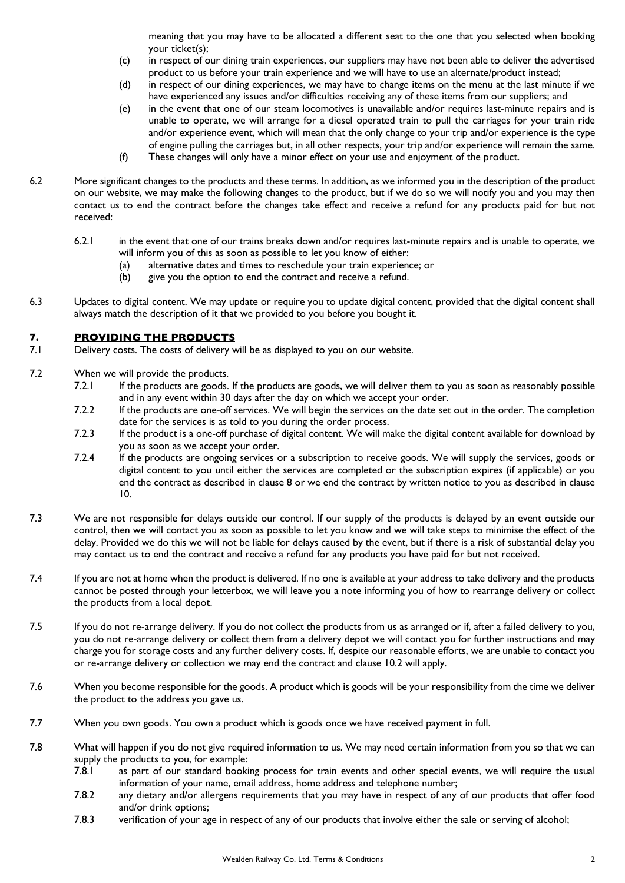meaning that you may have to be allocated a different seat to the one that you selected when booking your ticket(s);

- (c) in respect of our dining train experiences, our suppliers may have not been able to deliver the advertised product to us before your train experience and we will have to use an alternate/product instead;
- (d) in respect of our dining experiences, we may have to change items on the menu at the last minute if we have experienced any issues and/or difficulties receiving any of these items from our suppliers; and
- (e) in the event that one of our steam locomotives is unavailable and/or requires last-minute repairs and is unable to operate, we will arrange for a diesel operated train to pull the carriages for your train ride and/or experience event, which will mean that the only change to your trip and/or experience is the type of engine pulling the carriages but, in all other respects, your trip and/or experience will remain the same.
- (f) These changes will only have a minor effect on your use and enjoyment of the product.
- 6.2 More significant changes to the products and these terms. In addition, as we informed you in the description of the product on our website, we may make the following changes to the product, but if we do so we will notify you and you may then contact us to end the contract before the changes take effect and receive a refund for any products paid for but not received:
	- 6.2.1 in the event that one of our trains breaks down and/or requires last-minute repairs and is unable to operate, we will inform you of this as soon as possible to let you know of either:
		- (a) alternative dates and times to reschedule your train experience; or
		- (b) give you the option to end the contract and receive a refund.
- 6.3 Updates to digital content. We may update or require you to update digital content, provided that the digital content shall always match the description of it that we provided to you before you bought it.

# **7. PROVIDING THE PRODUCTS**<br>7 **I** Delivery costs. The costs of delivery w

- Delivery costs. The costs of delivery will be as displayed to you on our website.
- 7.2 When we will provide the products.
	- 7.2.1 If the products are goods. If the products are goods, we will deliver them to you as soon as reasonably possible and in any event within 30 days after the day on which we accept your order.
	- 7.2.2 If the products are one-off services. We will begin the services on the date set out in the order. The completion date for the services is as told to you during the order process.
	- 7.2.3 If the product is a one-off purchase of digital content. We will make the digital content available for download by you as soon as we accept your order.
	- 7.2.4 If the products are ongoing services or a subscription to receive goods. We will supply the services, goods or digital content to you until either the services are completed or the subscription expires (if applicable) or you end the contract as described in clause 8 or we end the contract by written notice to you as described in clause 10.
- 7.3 We are not responsible for delays outside our control. If our supply of the products is delayed by an event outside our control, then we will contact you as soon as possible to let you know and we will take steps to minimise the effect of the delay. Provided we do this we will not be liable for delays caused by the event, but if there is a risk of substantial delay you may contact us to end the contract and receive a refund for any products you have paid for but not received.
- 7.4 If you are not at home when the product is delivered. If no one is available at your address to take delivery and the products cannot be posted through your letterbox, we will leave you a note informing you of how to rearrange delivery or collect the products from a local depot.
- 7.5 If you do not re-arrange delivery. If you do not collect the products from us as arranged or if, after a failed delivery to you, you do not re-arrange delivery or collect them from a delivery depot we will contact you for further instructions and may charge you for storage costs and any further delivery costs. If, despite our reasonable efforts, we are unable to contact you or re-arrange delivery or collection we may end the contract and clause 10.2 will apply.
- 7.6 When you become responsible for the goods. A product which is goods will be your responsibility from the time we deliver the product to the address you gave us.
- 7.7 When you own goods. You own a product which is goods once we have received payment in full.
- 7.8 What will happen if you do not give required information to us. We may need certain information from you so that we can supply the products to you, for example:
	- 7.8.1 as part of our standard booking process for train events and other special events, we will require the usual information of your name, email address, home address and telephone number;
	- 7.8.2 any dietary and/or allergens requirements that you may have in respect of any of our products that offer food and/or drink options;
	- 7.8.3 verification of your age in respect of any of our products that involve either the sale or serving of alcohol;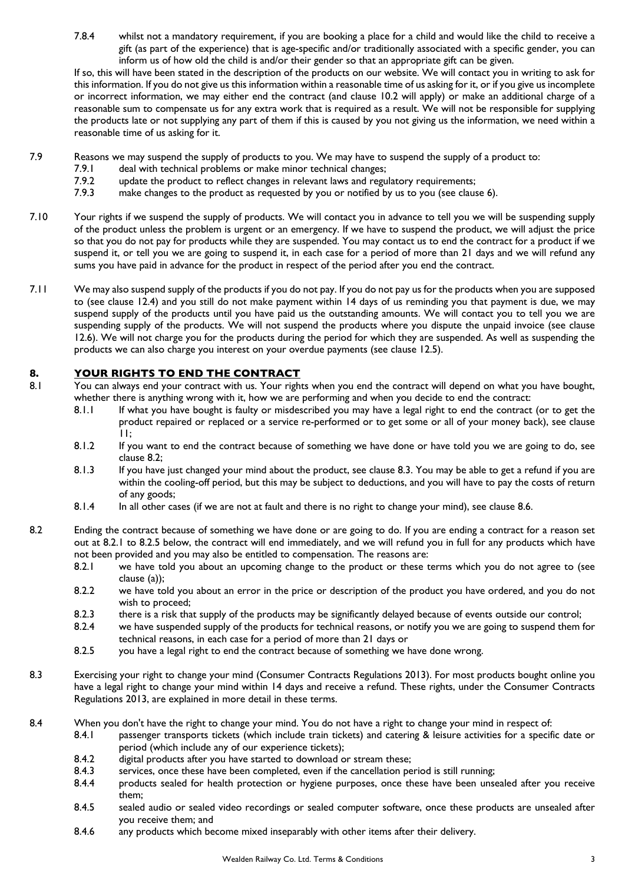7.8.4 whilst not a mandatory requirement, if you are booking a place for a child and would like the child to receive a gift (as part of the experience) that is age-specific and/or traditionally associated with a specific gender, you can inform us of how old the child is and/or their gender so that an appropriate gift can be given.

If so, this will have been stated in the description of the products on our website. We will contact you in writing to ask for this information. If you do not give us this information within a reasonable time of us asking for it, or if you give us incomplete or incorrect information, we may either end the contract (and clause 10.2 will apply) or make an additional charge of a reasonable sum to compensate us for any extra work that is required as a result. We will not be responsible for supplying the products late or not supplying any part of them if this is caused by you not giving us the information, we need within a reasonable time of us asking for it.

- 7.9 Reasons we may suspend the supply of products to you. We may have to suspend the supply of a product to:
	- 7.9.1 deal with technical problems or make minor technical changes;
	- 7.9.2 update the product to reflect changes in relevant laws and regulatory requirements;<br>7.9.3 make changes to the product as requested by you or notified by us to you (see claus
	- make changes to the product as requested by you or notified by us to you (see clause 6).
- 7.10 Your rights if we suspend the supply of products. We will contact you in advance to tell you we will be suspending supply of the product unless the problem is urgent or an emergency. If we have to suspend the product, we will adjust the price so that you do not pay for products while they are suspended. You may contact us to end the contract for a product if we suspend it, or tell you we are going to suspend it, in each case for a period of more than 21 days and we will refund any sums you have paid in advance for the product in respect of the period after you end the contract.
- 7.11 We may also suspend supply of the products if you do not pay. If you do not pay us for the products when you are supposed to (see clause 12.4) and you still do not make payment within 14 days of us reminding you that payment is due, we may suspend supply of the products until you have paid us the outstanding amounts. We will contact you to tell you we are suspending supply of the products. We will not suspend the products where you dispute the unpaid invoice (see clause 12.6). We will not charge you for the products during the period for which they are suspended. As well as suspending the products we can also charge you interest on your overdue payments (see clause 12.5).

## **8. YOUR RIGHTS TO END THE CONTRACT**

- 8.1 You can always end your contract with us. Your rights when you end the contract will depend on what you have bought, whether there is anything wrong with it, how we are performing and when you decide to end the contract:
	- 8.1.1 If what you have bought is faulty or misdescribed you may have a legal right to end the contract (or to get the product repaired or replaced or a service re-performed or to get some or all of your money back), see clause 11;
	- 8.1.2 If you want to end the contract because of something we have done or have told you we are going to do, see clause 8.2;
	- 8.1.3 If you have just changed your mind about the product, see clause 8.3. You may be able to get a refund if you are within the cooling-off period, but this may be subject to deductions, and you will have to pay the costs of return of any goods;
	- 8.1.4 In all other cases (if we are not at fault and there is no right to change your mind), see clause 8.6.
- 8.2 Ending the contract because of something we have done or are going to do. If you are ending a contract for a reason set out at 8.2.1 to 8.2.5 below, the contract will end immediately, and we will refund you in full for any products which have not been provided and you may also be entitled to compensation. The reasons are:
	- 8.2.1 we have told you about an upcoming change to the product or these terms which you do not agree to (see clause (a));
	- 8.2.2 we have told you about an error in the price or description of the product you have ordered, and you do not wish to proceed;
	- 8.2.3 there is a risk that supply of the products may be significantly delayed because of events outside our control;
	- 8.2.4 we have suspended supply of the products for technical reasons, or notify you we are going to suspend them for technical reasons, in each case for a period of more than 21 days or
	- 8.2.5 you have a legal right to end the contract because of something we have done wrong.
- 8.3 Exercising your right to change your mind (Consumer Contracts Regulations 2013). For most products bought online you have a legal right to change your mind within 14 days and receive a refund. These rights, under the Consumer Contracts Regulations 2013, are explained in more detail in these terms.
- 8.4 When you don't have the right to change your mind. You do not have a right to change your mind in respect of:
	- 8.4.1 passenger transports tickets (which include train tickets) and catering & leisure activities for a specific date or period (which include any of our experience tickets);
	- 8.4.2 digital products after you have started to download or stream these;
	- 8.4.3 services, once these have been completed, even if the cancellation period is still running;
	- 8.4.4 products sealed for health protection or hygiene purposes, once these have been unsealed after you receive them;
	- 8.4.5 sealed audio or sealed video recordings or sealed computer software, once these products are unsealed after you receive them; and
	- 8.4.6 any products which become mixed inseparably with other items after their delivery.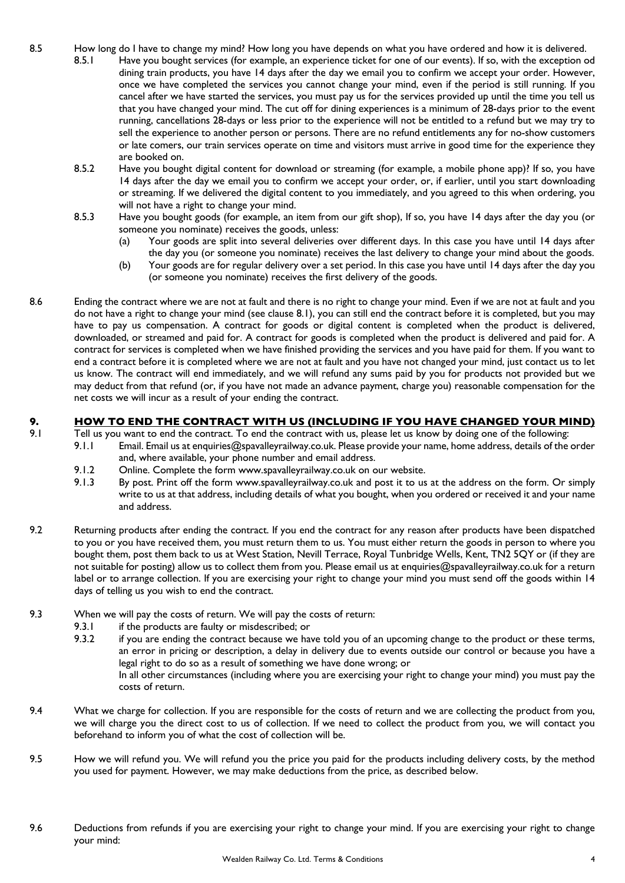- 8.5 How long do I have to change my mind? How long you have depends on what you have ordered and how it is delivered.
	- 8.5.1 Have you bought services (for example, an experience ticket for one of our events). If so, with the exception od dining train products, you have 14 days after the day we email you to confirm we accept your order. However, once we have completed the services you cannot change your mind, even if the period is still running. If you cancel after we have started the services, you must pay us for the services provided up until the time you tell us that you have changed your mind. The cut off for dining experiences is a minimum of 28-days prior to the event running, cancellations 28-days or less prior to the experience will not be entitled to a refund but we may try to sell the experience to another person or persons. There are no refund entitlements any for no-show customers or late comers, our train services operate on time and visitors must arrive in good time for the experience they are booked on.
	- 8.5.2 Have you bought digital content for download or streaming (for example, a mobile phone app)? If so, you have 14 days after the day we email you to confirm we accept your order, or, if earlier, until you start downloading or streaming. If we delivered the digital content to you immediately, and you agreed to this when ordering, you will not have a right to change your mind.
	- 8.5.3 Have you bought goods (for example, an item from our gift shop), If so, you have 14 days after the day you (or someone you nominate) receives the goods, unless:
		- (a) Your goods are split into several deliveries over different days. In this case you have until 14 days after the day you (or someone you nominate) receives the last delivery to change your mind about the goods.
		- (b) Your goods are for regular delivery over a set period. In this case you have until 14 days after the day you (or someone you nominate) receives the first delivery of the goods.
- 8.6 Ending the contract where we are not at fault and there is no right to change your mind. Even if we are not at fault and you do not have a right to change your mind (see clause 8.1), you can still end the contract before it is completed, but you may have to pay us compensation. A contract for goods or digital content is completed when the product is delivered, downloaded, or streamed and paid for. A contract for goods is completed when the product is delivered and paid for. A contract for services is completed when we have finished providing the services and you have paid for them. If you want to end a contract before it is completed where we are not at fault and you have not changed your mind, just contact us to let us know. The contract will end immediately, and we will refund any sums paid by you for products not provided but we may deduct from that refund (or, if you have not made an advance payment, charge you) reasonable compensation for the net costs we will incur as a result of your ending the contract.

## **9. HOW TO END THE CONTRACT WITH US (INCLUDING IF YOU HAVE CHANGED YOUR MIND)**

- 9.1 Tell us you want to end the contract. To end the contract with us, please let us know by doing one of the following:
	- 9.1.1 Email. Email us at enquiries@spavalleyrailway.co.uk. Please provide your name, home address, details of the order and, where available, your phone number and email address.
	- 9.1.2 Online. Complete the form www.spavalleyrailway.co.uk on our website.
	- 9.1.3 By post. Print off the form www.spavalleyrailway.co.uk and post it to us at the address on the form. Or simply write to us at that address, including details of what you bought, when you ordered or received it and your name and address.
- 9.2 Returning products after ending the contract. If you end the contract for any reason after products have been dispatched to you or you have received them, you must return them to us. You must either return the goods in person to where you bought them, post them back to us at West Station, Nevill Terrace, Royal Tunbridge Wells, Kent, TN2 5QY or (if they are not suitable for posting) allow us to collect them from you. Please email us at enquiries@spavalleyrailway.co.uk for a return label or to arrange collection. If you are exercising your right to change your mind you must send off the goods within 14 days of telling us you wish to end the contract.
- 9.3 When we will pay the costs of return. We will pay the costs of return:
	- 9.3.1 if the products are faulty or misdescribed; or
	- 9.3.2 if you are ending the contract because we have told you of an upcoming change to the product or these terms, an error in pricing or description, a delay in delivery due to events outside our control or because you have a legal right to do so as a result of something we have done wrong; or In all other circumstances (including where you are exercising your right to change your mind) you must pay the costs of return.
- 9.4 What we charge for collection. If you are responsible for the costs of return and we are collecting the product from you, we will charge you the direct cost to us of collection. If we need to collect the product from you, we will contact you beforehand to inform you of what the cost of collection will be.
- 9.5 How we will refund you. We will refund you the price you paid for the products including delivery costs, by the method you used for payment. However, we may make deductions from the price, as described below.
- 9.6 Deductions from refunds if you are exercising your right to change your mind. If you are exercising your right to change your mind: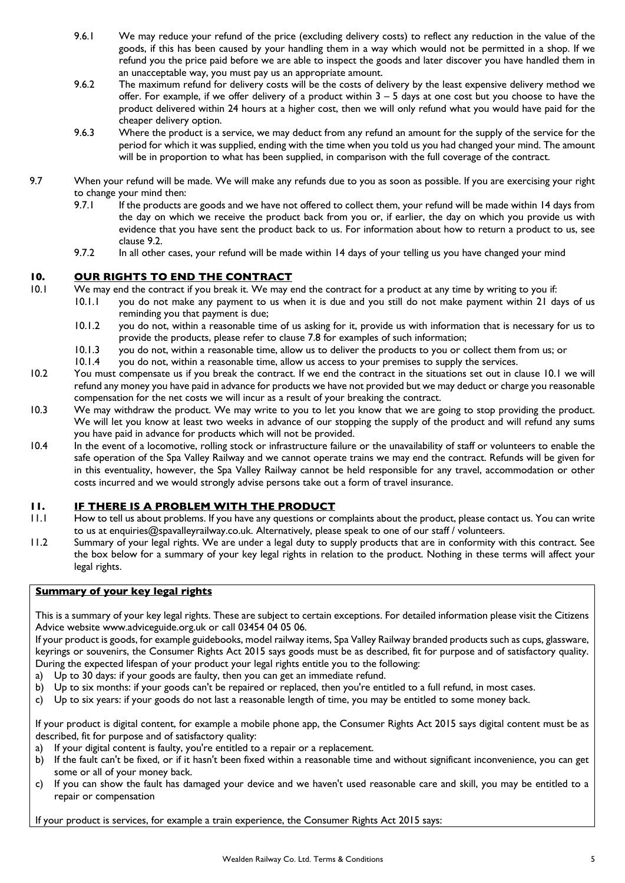- 9.6.1 We may reduce your refund of the price (excluding delivery costs) to reflect any reduction in the value of the goods, if this has been caused by your handling them in a way which would not be permitted in a shop. If we refund you the price paid before we are able to inspect the goods and later discover you have handled them in an unacceptable way, you must pay us an appropriate amount.
- 9.6.2 The maximum refund for delivery costs will be the costs of delivery by the least expensive delivery method we offer. For example, if we offer delivery of a product within 3 – 5 days at one cost but you choose to have the product delivered within 24 hours at a higher cost, then we will only refund what you would have paid for the cheaper delivery option.
- 9.6.3 Where the product is a service, we may deduct from any refund an amount for the supply of the service for the period for which it was supplied, ending with the time when you told us you had changed your mind. The amount will be in proportion to what has been supplied, in comparison with the full coverage of the contract.
- 9.7 When your refund will be made. We will make any refunds due to you as soon as possible. If you are exercising your right to change your mind then:
	- 9.7.1 If the products are goods and we have not offered to collect them, your refund will be made within 14 days from the day on which we receive the product back from you or, if earlier, the day on which you provide us with evidence that you have sent the product back to us. For information about how to return a product to us, see clause 9.2.
	- 9.7.2 In all other cases, your refund will be made within 14 days of your telling us you have changed your mind

## **10. OUR RIGHTS TO END THE CONTRACT**

- 10.1 We may end the contract if you break it. We may end the contract for a product at any time by writing to you if:
	- 10.1.1 you do not make any payment to us when it is due and you still do not make payment within 21 days of us reminding you that payment is due;
		- 10.1.2 you do not, within a reasonable time of us asking for it, provide us with information that is necessary for us to provide the products, please refer to clause 7.8 for examples of such information;
		- 10.1.3 you do not, within a reasonable time, allow us to deliver the products to you or collect them from us; or 10.1.4 you do not, within a reasonable time, allow us access to your premises to supply the services.
		- you do not, within a reasonable time, allow us access to your premises to supply the services.
- 10.2 You must compensate us if you break the contract. If we end the contract in the situations set out in clause 10.1 we will refund any money you have paid in advance for products we have not provided but we may deduct or charge you reasonable compensation for the net costs we will incur as a result of your breaking the contract.
- 10.3 We may withdraw the product. We may write to you to let you know that we are going to stop providing the product. We will let you know at least two weeks in advance of our stopping the supply of the product and will refund any sums you have paid in advance for products which will not be provided.
- 10.4 In the event of a locomotive, rolling stock or infrastructure failure or the unavailability of staff or volunteers to enable the safe operation of the Spa Valley Railway and we cannot operate trains we may end the contract. Refunds will be given for in this eventuality, however, the Spa Valley Railway cannot be held responsible for any travel, accommodation or other costs incurred and we would strongly advise persons take out a form of travel insurance.

## **11. IF THERE IS A PROBLEM WITH THE PRODUCT**

- 11.1 How to tell us about problems. If you have any questions or complaints about the product, please contact us. You can write to us at enquiries@spavalleyrailway.co.uk. Alternatively, please speak to one of our staff / volunteers.
- 11.2 Summary of your legal rights. We are under a legal duty to supply products that are in conformity with this contract. See the box below for a summary of your key legal rights in relation to the product. Nothing in these terms will affect your legal rights.

## **Summary of your key legal rights**

This is a summary of your key legal rights. These are subject to certain exceptions. For detailed information please visit the Citizens Advice website www.adviceguide.org.uk or call 03454 04 05 06.

If your product is goods, for example guidebooks, model railway items, Spa Valley Railway branded products such as cups, glassware, keyrings or souvenirs, the Consumer Rights Act 2015 says goods must be as described, fit for purpose and of satisfactory quality. During the expected lifespan of your product your legal rights entitle you to the following:

- a) Up to 30 days: if your goods are faulty, then you can get an immediate refund.
- b) Up to six months: if your goods can't be repaired or replaced, then you're entitled to a full refund, in most cases.
- c) Up to six years: if your goods do not last a reasonable length of time, you may be entitled to some money back.

If your product is digital content, for example a mobile phone app, the Consumer Rights Act 2015 says digital content must be as described, fit for purpose and of satisfactory quality:

- a) If your digital content is faulty, you're entitled to a repair or a replacement.
- b) If the fault can't be fixed, or if it hasn't been fixed within a reasonable time and without significant inconvenience, you can get some or all of your money back.
- c) If you can show the fault has damaged your device and we haven't used reasonable care and skill, you may be entitled to a repair or compensation

If your product is services, for example a train experience, the Consumer Rights Act 2015 says: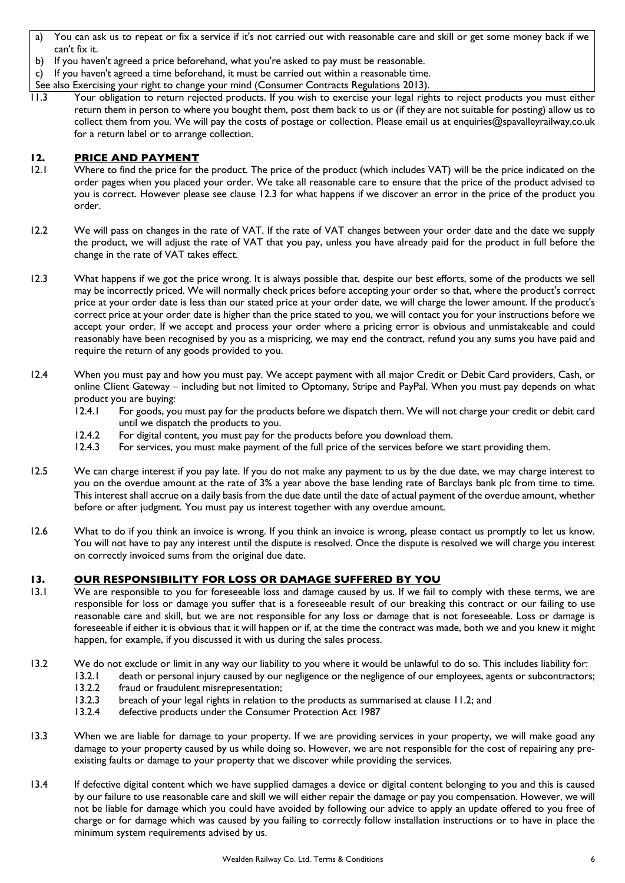- a) You can ask us to repeat or fix a service if it's not carried out with reasonable care and skill or get some money back if we can't fix it.
- b) If you haven't agreed a price beforehand, what you're asked to pay must be reasonable.

c) If you haven't agreed a time beforehand, it must be carried out within a reasonable time.

See also Exercising your right to change your mind (Consumer Contracts Regulations 2013).

11.3 Your obligation to return rejected products. If you wish to exercise your legal rights to reject products you must either return them in person to where you bought them, post them back to us or (if they are not suitable for posting) allow us to collect them from you. We will pay the costs of postage or collection. Please email us at enquiries@spavalleyrailway.co.uk for a return label or to arrange collection.

## **12. PRICE AND PAYMENT**

- 12.1 Where to find the price for the product. The price of the product (which includes VAT) will be the price indicated on the order pages when you placed your order. We take all reasonable care to ensure that the price of the product advised to you is correct. However please see clause 12.3 for what happens if we discover an error in the price of the product you order.
- 12.2 We will pass on changes in the rate of VAT. If the rate of VAT changes between your order date and the date we supply the product, we will adjust the rate of VAT that you pay, unless you have already paid for the product in full before the change in the rate of VAT takes effect.
- 12.3 What happens if we got the price wrong. It is always possible that, despite our best efforts, some of the products we sell may be incorrectly priced. We will normally check prices before accepting your order so that, where the product's correct price at your order date is less than our stated price at your order date, we will charge the lower amount. If the product's correct price at your order date is higher than the price stated to you, we will contact you for your instructions before we accept your order. If we accept and process your order where a pricing error is obvious and unmistakeable and could reasonably have been recognised by you as a mispricing, we may end the contract, refund you any sums you have paid and require the return of any goods provided to you.
- 12.4 When you must pay and how you must pay. We accept payment with all major Credit or Debit Card providers, Cash, or online Client Gateway – including but not limited to Optomany, Stripe and PayPal. When you must pay depends on what product you are buying:
	- 12.4.1 For goods, you must pay for the products before we dispatch them. We will not charge your credit or debit card until we dispatch the products to you.
	- 12.4.2 For digital content, you must pay for the products before you download them.
	- 12.4.3 For services, you must make payment of the full price of the services before we start providing them.
- 12.5 We can charge interest if you pay late. If you do not make any payment to us by the due date, we may charge interest to you on the overdue amount at the rate of 3% a year above the base lending rate of Barclays bank plc from time to time. This interest shall accrue on a daily basis from the due date until the date of actual payment of the overdue amount, whether before or after judgment. You must pay us interest together with any overdue amount.
- 12.6 What to do if you think an invoice is wrong. If you think an invoice is wrong, please contact us promptly to let us know. You will not have to pay any interest until the dispute is resolved. Once the dispute is resolved we will charge you interest on correctly invoiced sums from the original due date.

## **13. OUR RESPONSIBILITY FOR LOSS OR DAMAGE SUFFERED BY YOU**

- 13.1 We are responsible to you for foreseeable loss and damage caused by us. If we fail to comply with these terms, we are responsible for loss or damage you suffer that is a foreseeable result of our breaking this contract or our failing to use reasonable care and skill, but we are not responsible for any loss or damage that is not foreseeable. Loss or damage is foreseeable if either it is obvious that it will happen or if, at the time the contract was made, both we and you knew it might happen, for example, if you discussed it with us during the sales process.
- 13.2 We do not exclude or limit in any way our liability to you where it would be unlawful to do so. This includes liability for:
	- 13.2.1 death or personal injury caused by our negligence or the negligence of our employees, agents or subcontractors;
		- 13.2.2 fraud or fraudulent misrepresentation;
		- 13.2.3 breach of your legal rights in relation to the products as summarised at clause 11.2; and
		- 13.2.4 defective products under the Consumer Protection Act 1987
- 13.3 When we are liable for damage to your property. If we are providing services in your property, we will make good any damage to your property caused by us while doing so. However, we are not responsible for the cost of repairing any preexisting faults or damage to your property that we discover while providing the services.
- 13.4 If defective digital content which we have supplied damages a device or digital content belonging to you and this is caused by our failure to use reasonable care and skill we will either repair the damage or pay you compensation. However, we will not be liable for damage which you could have avoided by following our advice to apply an update offered to you free of charge or for damage which was caused by you failing to correctly follow installation instructions or to have in place the minimum system requirements advised by us.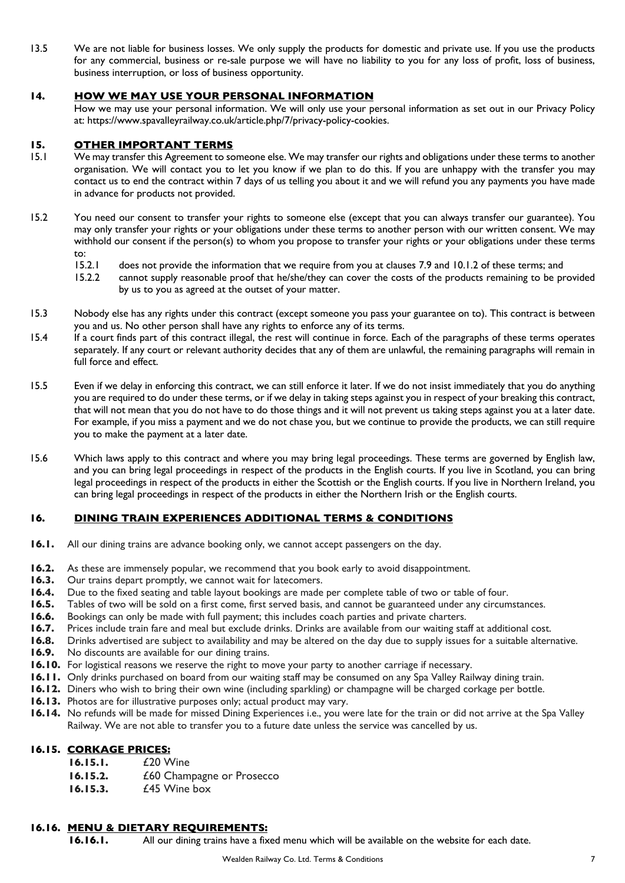13.5 We are not liable for business losses. We only supply the products for domestic and private use. If you use the products for any commercial, business or re-sale purpose we will have no liability to you for any loss of profit, loss of business, business interruption, or loss of business opportunity.

## **14. HOW WE MAY USE YOUR PERSONAL INFORMATION**

How we may use your personal information. We will only use your personal information as set out in our Privacy Policy at: https://www.spavalleyrailway.co.uk/article.php/7/privacy-policy-cookies.

## **15. OTHER IMPORTANT TERMS**

- 15.1 We may transfer this Agreement to someone else. We may transfer our rights and obligations under these terms to another organisation. We will contact you to let you know if we plan to do this. If you are unhappy with the transfer you may contact us to end the contract within 7 days of us telling you about it and we will refund you any payments you have made in advance for products not provided.
- 15.2 You need our consent to transfer your rights to someone else (except that you can always transfer our guarantee). You may only transfer your rights or your obligations under these terms to another person with our written consent. We may withhold our consent if the person(s) to whom you propose to transfer your rights or your obligations under these terms to:
	- 15.2.1 does not provide the information that we require from you at clauses 7.9 and 10.1.2 of these terms; and
	- 15.2.2 cannot supply reasonable proof that he/she/they can cover the costs of the products remaining to be provided by us to you as agreed at the outset of your matter.
- 15.3 Nobody else has any rights under this contract (except someone you pass your guarantee on to). This contract is between you and us. No other person shall have any rights to enforce any of its terms.
- 15.4 If a court finds part of this contract illegal, the rest will continue in force. Each of the paragraphs of these terms operates separately. If any court or relevant authority decides that any of them are unlawful, the remaining paragraphs will remain in full force and effect.
- 15.5 Even if we delay in enforcing this contract, we can still enforce it later. If we do not insist immediately that you do anything you are required to do under these terms, or if we delay in taking steps against you in respect of your breaking this contract, that will not mean that you do not have to do those things and it will not prevent us taking steps against you at a later date. For example, if you miss a payment and we do not chase you, but we continue to provide the products, we can still require you to make the payment at a later date.
- 15.6 Which laws apply to this contract and where you may bring legal proceedings. These terms are governed by English law, and you can bring legal proceedings in respect of the products in the English courts. If you live in Scotland, you can bring legal proceedings in respect of the products in either the Scottish or the English courts. If you live in Northern Ireland, you can bring legal proceedings in respect of the products in either the Northern Irish or the English courts.

## **16. DINING TRAIN EXPERIENCES ADDITIONAL TERMS & CONDITIONS**

- **16.1.** All our dining trains are advance booking only, we cannot accept passengers on the day.
- **16.2.** As these are immensely popular, we recommend that you book early to avoid disappointment.
- **16.3.** Our trains depart promptly, we cannot wait for latecomers.
- **16.4.** Due to the fixed seating and table layout bookings are made per complete table of two or table of four.
- **16.5.** Tables of two will be sold on a first come, first served basis, and cannot be guaranteed under any circumstances.<br>**16.6.** Bookings can only be made with full payment: this includes coach parties and private charter
- **16.6.** Bookings can only be made with full payment; this includes coach parties and private charters.<br>**16.7.** Prices include train fare and meal but exclude drinks. Drinks are available from our waiting sta
- **16.7.** Prices include train fare and meal but exclude drinks. Drinks are available from our waiting staff at additional cost.<br>**16.8.** Drinks advertised are subject to availability and may be altered on the day due to supp
- **16.8.** Drinks advertised are subject to availability and may be altered on the day due to supply issues for a suitable alternative.
- **16.9.** No discounts are available for our dining trains.
- **16.10.** For logistical reasons we reserve the right to move your party to another carriage if necessary.
- **16.11.** Only drinks purchased on board from our waiting staff may be consumed on any Spa Valley Railway dining train.
- **16.12.** Diners who wish to bring their own wine (including sparkling) or champagne will be charged corkage per bottle.
- **16.13.** Photos are for illustrative purposes only; actual product may vary.
- **16.14.** No refunds will be made for missed Dining Experiences i.e., you were late for the train or did not arrive at the Spa Valley Railway. We are not able to transfer you to a future date unless the service was cancelled by us.

## **16.15. CORKAGE PRICES:**

- **16.15.1.** £20 Wine
- **16.15.2.** *£60* Champagne or Prosecco
- **16.15.3.** £45 Wine box

#### **16.16. MENU & DIETARY REQUIREMENTS:**

**16.16.1.** All our dining trains have a fixed menu which will be available on the website for each date.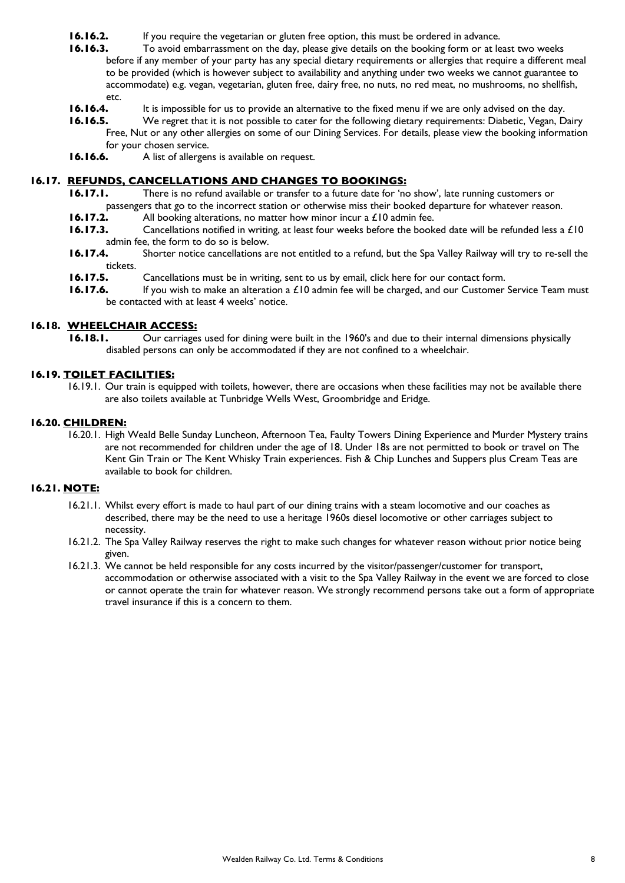- **16.16.2.** If you require the vegetarian or gluten free option, this must be ordered in advance.
- **16.16.3.** To avoid embarrassment on the day, please give details on the booking form or at least two weeks before if any member of your party has any special dietary requirements or allergies that require a different meal to be provided (which is however subject to availability and anything under two weeks we cannot guarantee to accommodate) e.g. vegan, vegetarian, gluten free, dairy free, no nuts, no red meat, no mushrooms, no shellfish, etc.
- **16.16.4.** It is impossible for us to provide an alternative to the fixed menu if we are only advised on the day.
- **16.16.5.** We regret that it is not possible to cater for the following dietary requirements: Diabetic, Vegan, Dairy Free, Nut or any other allergies on some of our Dining Services. For details, please view the booking information for your chosen service.
- **16.16.6.** A list of allergens is available on request.

## **16.17. REFUNDS, CANCELLATIONS AND CHANGES TO BOOKINGS:**

- **16.17.1.** There is no refund available or transfer to a future date for 'no show', late running customers or passengers that go to the incorrect station or otherwise miss their booked departure for whatever reason.
- **16.17.2.** All booking alterations, no matter how minor incur a £10 admin fee.
- **16.17.3.** Cancellations notified in writing, at least four weeks before the booked date will be refunded less a £10 admin fee, the form to do so is below.
- **16.17.4.** Shorter notice cancellations are not entitled to a refund, but the Spa Valley Railway will try to re-sell the tickets.
- **16.17.5.** Cancellations must be in writing, sent to us by email, click here for our contact form.
- **16.17.6.** If you wish to make an alteration a £10 admin fee will be charged, and our Customer Service Team must be contacted with at least 4 weeks' notice.

## **16.18. WHEELCHAIR ACCESS:**

**16.18.1.** Our carriages used for dining were built in the 1960's and due to their internal dimensions physically disabled persons can only be accommodated if they are not confined to a wheelchair.

#### **16.19. TOILET FACILITIES:**

16.19.1. Our train is equipped with toilets, however, there are occasions when these facilities may not be available there are also toilets available at Tunbridge Wells West, Groombridge and Eridge.

#### **16.20. CHILDREN:**

16.20.1. High Weald Belle Sunday Luncheon, Afternoon Tea, Faulty Towers Dining Experience and Murder Mystery trains are not recommended for children under the age of 18. Under 18s are not permitted to book or travel on The Kent Gin Train or The Kent Whisky Train experiences. Fish & Chip Lunches and Suppers plus Cream Teas are available to book for children.

#### **16.21. NOTE:**

- 16.21.1. Whilst every effort is made to haul part of our dining trains with a steam locomotive and our coaches as described, there may be the need to use a heritage 1960s diesel locomotive or other carriages subject to necessity.
- 16.21.2. The Spa Valley Railway reserves the right to make such changes for whatever reason without prior notice being given.
- 16.21.3. We cannot be held responsible for any costs incurred by the visitor/passenger/customer for transport, accommodation or otherwise associated with a visit to the Spa Valley Railway in the event we are forced to close or cannot operate the train for whatever reason. We strongly recommend persons take out a form of appropriate travel insurance if this is a concern to them.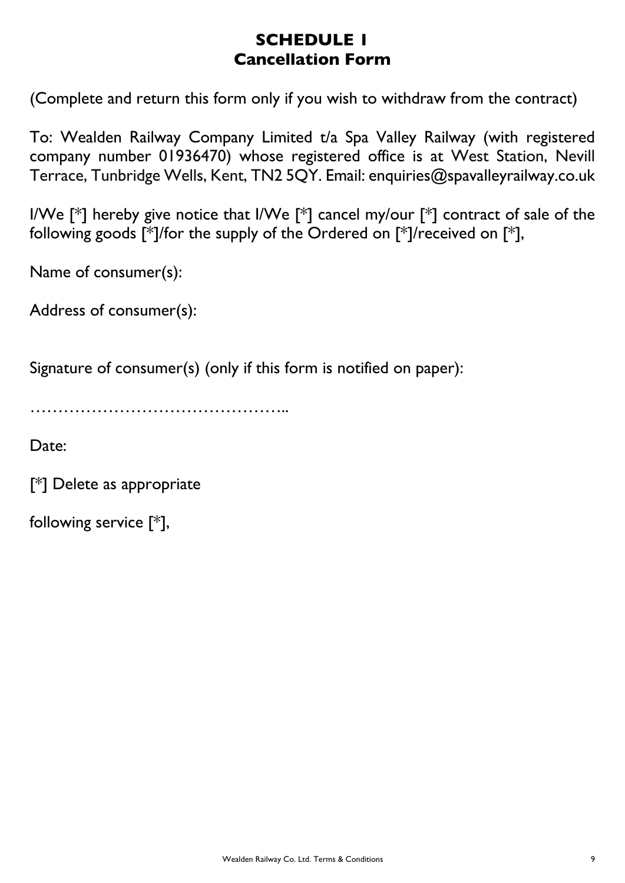## **SCHEDULE 1 Cancellation Form**

(Complete and return this form only if you wish to withdraw from the contract)

To: Wealden Railway Company Limited t/a Spa Valley Railway (with registered company number 01936470) whose registered office is at West Station, Nevill Terrace, Tunbridge Wells, Kent, TN2 5QY. Email: enquiries@spavalleyrailway.co.uk

I/We  $\lceil * \rceil$  hereby give notice that I/We  $\lceil * \rceil$  cancel my/our  $\lceil * \rceil$  contract of sale of the following goods [\*]/for the supply of the Ordered on [\*]/received on [\*],

Name of consumer(s):

Address of consumer(s):

Signature of consumer(s) (only if this form is notified on paper):

………………………………………..

Date:

[\*] Delete as appropriate

following service [\*],